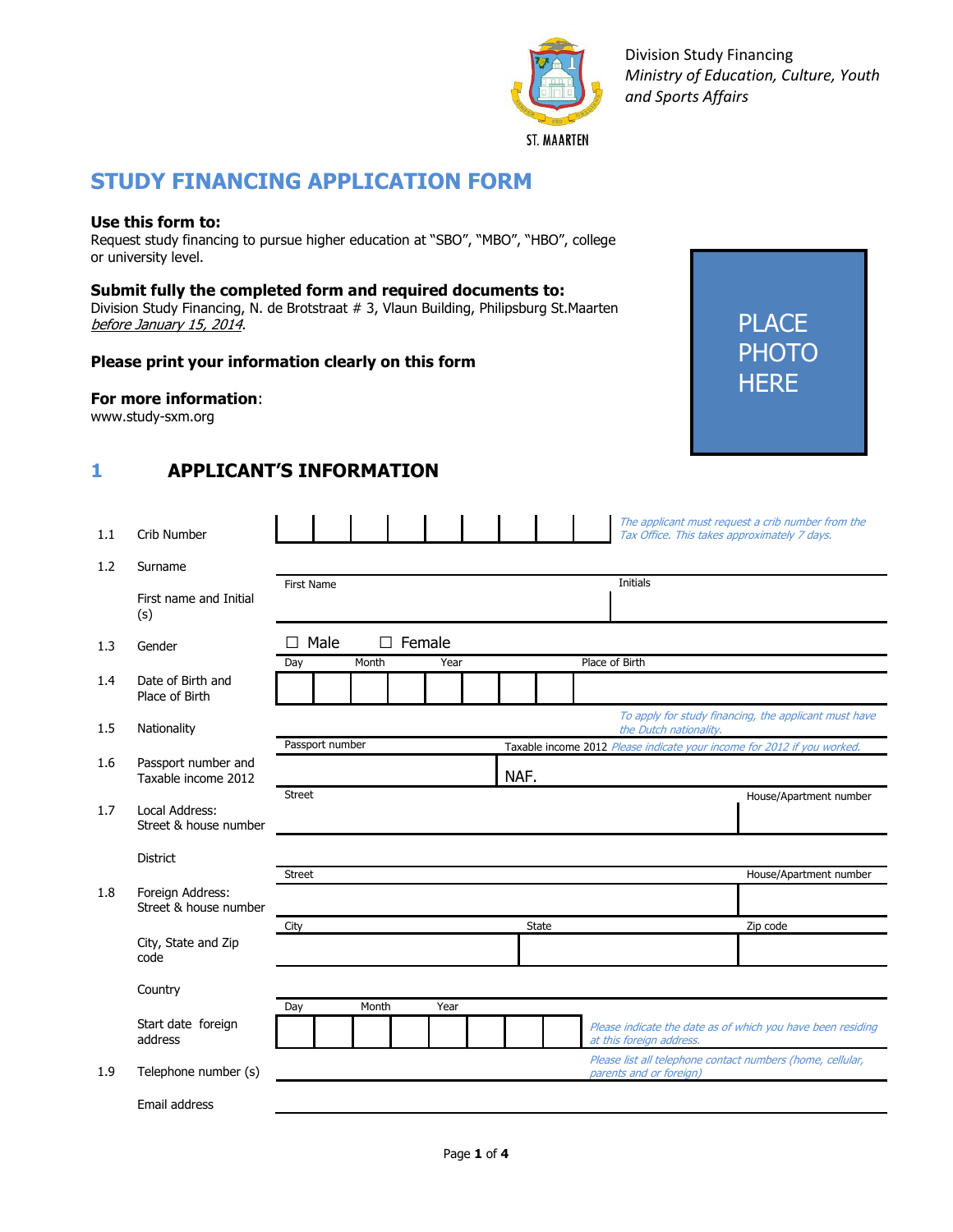

Division Study Financing *Ministry of Education, Culture, Youth and Sports Affairs*

> PLACE PHOTO

**HERE** 

# **STUDY FINANCING APPLICATION FORM**

#### **Use this form to:**

Request study financing to pursue higher education at "SBO", "MBO", "HBO", college or university level.

#### **Submit fully the completed form and required documents to:**

Division Study Financing, N. de Brotstraat # 3, Vlaun Building, Philipsburg St.Maarten before January 15, 2014.

#### **Please print your information clearly on this form**

#### **For more information**:

www.study-sxm.org

## **1 APPLICANT'S INFORMATION**

|     |                                            |                   |                 |       |        |                                                                         |                |                                              | The applicant must request a crib number from the           |
|-----|--------------------------------------------|-------------------|-----------------|-------|--------|-------------------------------------------------------------------------|----------------|----------------------------------------------|-------------------------------------------------------------|
| 1.1 | Crib Number                                |                   |                 |       |        |                                                                         |                | Tax Office. This takes approximately 7 days. |                                                             |
| 1.2 | Surname                                    |                   |                 |       |        |                                                                         |                |                                              |                                                             |
|     | First name and Initial<br>(s)              | <b>First Name</b> |                 |       |        |                                                                         |                | Initials                                     |                                                             |
| 1.3 | Gender                                     |                   | Male            | П     | Female |                                                                         |                |                                              |                                                             |
|     |                                            | Day               |                 | Month | Year   |                                                                         | Place of Birth |                                              |                                                             |
| 1.4 | Date of Birth and<br>Place of Birth        |                   |                 |       |        |                                                                         |                |                                              |                                                             |
| 1.5 | Nationality                                |                   |                 |       |        |                                                                         |                | the Dutch nationality.                       | To apply for study financing, the applicant must have       |
|     |                                            |                   | Passport number |       |        | Taxable income 2012 Please indicate your income for 2012 if you worked. |                |                                              |                                                             |
| 1.6 | Passport number and<br>Taxable income 2012 |                   |                 |       |        | NAF.                                                                    |                |                                              |                                                             |
| 1.7 | Local Address:<br>Street & house number    | <b>Street</b>     |                 |       |        |                                                                         |                |                                              | House/Apartment number                                      |
|     | <b>District</b>                            |                   |                 |       |        |                                                                         |                |                                              |                                                             |
|     |                                            | <b>Street</b>     |                 |       |        |                                                                         |                |                                              | House/Apartment number                                      |
| 1.8 | Foreign Address:<br>Street & house number  |                   |                 |       |        |                                                                         |                |                                              |                                                             |
|     |                                            | City              |                 |       |        | <b>State</b>                                                            |                |                                              | Zip code                                                    |
|     | City, State and Zip<br>code                |                   |                 |       |        |                                                                         |                |                                              |                                                             |
|     | Country                                    |                   |                 |       |        |                                                                         |                |                                              |                                                             |
|     |                                            | Day               |                 | Month | Year   |                                                                         |                |                                              |                                                             |
|     | Start date foreign<br>address              |                   |                 |       |        |                                                                         |                | at this foreign address.                     | Please indicate the date as of which you have been residing |
| 1.9 | Telephone number (s)                       |                   |                 |       |        |                                                                         |                | parents and or foreign)                      | Please list all telephone contact numbers (home, cellular,  |
|     | Email address                              |                   |                 |       |        |                                                                         |                |                                              |                                                             |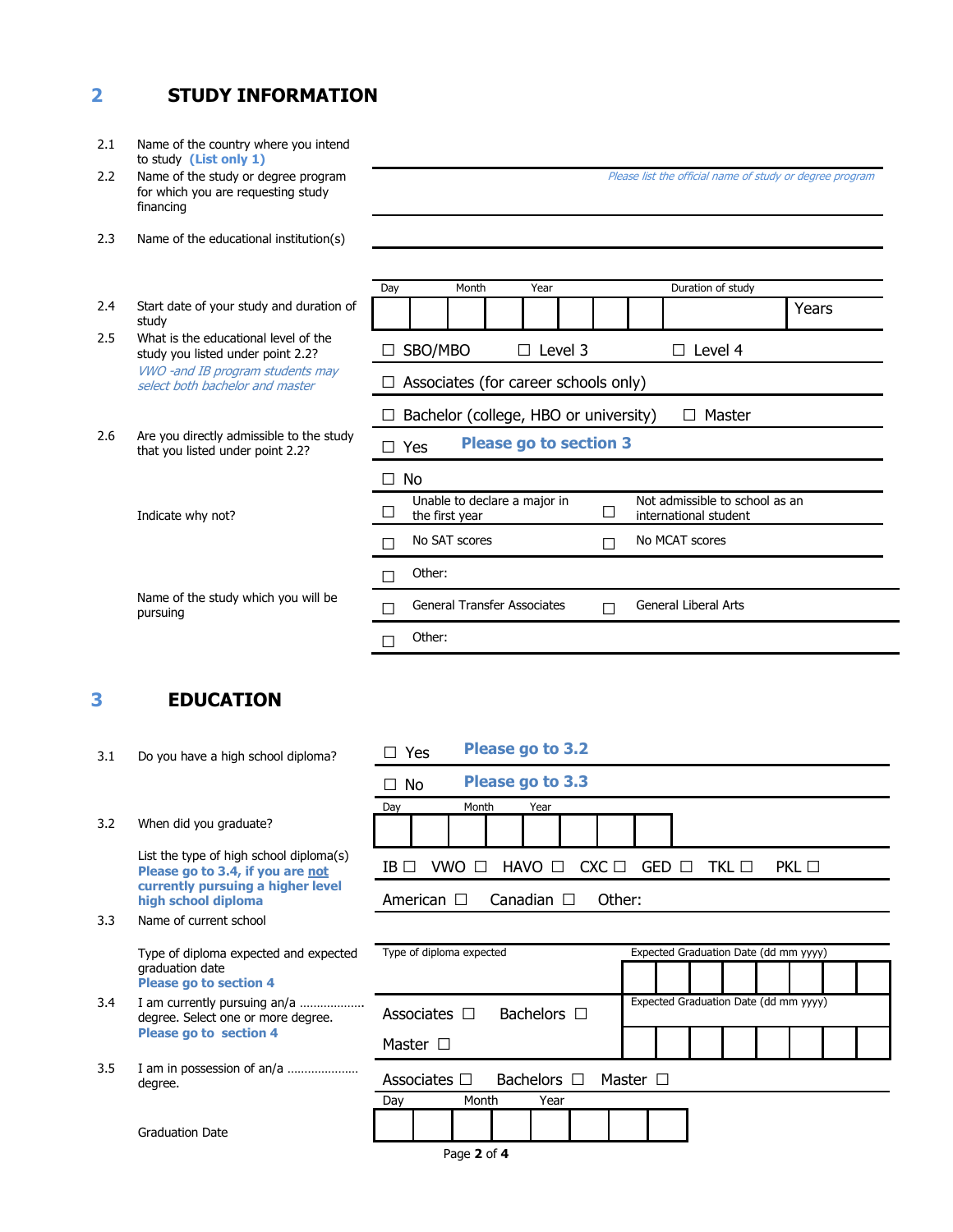## **2 STUDY INFORMATION**

| Name of the country where you intend<br>to study (List only 1)<br>Name of the study or degree program<br>for which you are requesting study<br>financing |                                                                      |                                            |                        |                                          |                                      |                |                   |                                                                                                                     |  |  |  |
|----------------------------------------------------------------------------------------------------------------------------------------------------------|----------------------------------------------------------------------|--------------------------------------------|------------------------|------------------------------------------|--------------------------------------|----------------|-------------------|---------------------------------------------------------------------------------------------------------------------|--|--|--|
| Name of the educational institution(s)                                                                                                                   |                                                                      |                                            |                        |                                          |                                      |                |                   |                                                                                                                     |  |  |  |
|                                                                                                                                                          | Day                                                                  |                                            |                        |                                          |                                      |                | Duration of study |                                                                                                                     |  |  |  |
| Start date of your study and duration of<br>study                                                                                                        |                                                                      |                                            |                        |                                          |                                      |                |                   | Years                                                                                                               |  |  |  |
| What is the educational level of the<br>2.5<br>study you listed under point 2.2?                                                                         |                                                                      | SBO/MBO<br>Level 3<br>$\Box$ Level 4<br>П. |                        |                                          |                                      |                |                   |                                                                                                                     |  |  |  |
| select both bachelor and master                                                                                                                          | Associates (for career schools only)                                 |                                            |                        |                                          |                                      |                |                   |                                                                                                                     |  |  |  |
|                                                                                                                                                          | Bachelor (college, HBO or university)<br>$\Box$ Master               |                                            |                        |                                          |                                      |                |                   |                                                                                                                     |  |  |  |
| Are you directly admissible to the study<br>that you listed under point 2.2?                                                                             | <b>Please go to section 3</b><br>Yes<br>$\Box$                       |                                            |                        |                                          |                                      |                |                   |                                                                                                                     |  |  |  |
|                                                                                                                                                          | H                                                                    |                                            |                        |                                          |                                      |                |                   |                                                                                                                     |  |  |  |
| Indicate why not?                                                                                                                                        |                                                                      |                                            |                        |                                          | $\Box$                               |                |                   |                                                                                                                     |  |  |  |
|                                                                                                                                                          |                                                                      |                                            |                        |                                          | П                                    | No MCAT scores |                   |                                                                                                                     |  |  |  |
|                                                                                                                                                          |                                                                      |                                            |                        |                                          |                                      |                |                   |                                                                                                                     |  |  |  |
| Name of the study which you will be<br>pursuing                                                                                                          | <b>General Transfer Associates</b><br>General Liberal Arts<br>$\Box$ |                                            |                        |                                          |                                      |                |                   |                                                                                                                     |  |  |  |
|                                                                                                                                                          |                                                                      |                                            |                        |                                          |                                      |                |                   |                                                                                                                     |  |  |  |
|                                                                                                                                                          | VWO -and IB program students may                                     |                                            | No<br>Other:<br>Other: | Month<br>the first year<br>No SAT scores | Year<br>Unable to declare a major in |                |                   | Please list the official name of study or degree program<br>Not admissible to school as an<br>international student |  |  |  |

## **3 EDUCATION**

| 3.1 | Do you have a high school diploma?                                                           | Please go to 3.2<br>Yes                                                                                   |                                       |                  |      |  |  |  |                                       |                                       |  |  |  |  |  |
|-----|----------------------------------------------------------------------------------------------|-----------------------------------------------------------------------------------------------------------|---------------------------------------|------------------|------|--|--|--|---------------------------------------|---------------------------------------|--|--|--|--|--|
|     |                                                                                              | No.<br>$\Box$                                                                                             |                                       | Please go to 3.3 |      |  |  |  |                                       |                                       |  |  |  |  |  |
|     |                                                                                              | Day                                                                                                       | Month                                 |                  | Year |  |  |  |                                       |                                       |  |  |  |  |  |
| 3.2 | When did you graduate?                                                                       |                                                                                                           |                                       |                  |      |  |  |  |                                       |                                       |  |  |  |  |  |
|     | List the type of high school diploma(s)<br>Please go to 3.4, if you are not                  | $IB$ $\Box$<br>$HAVO$ $\Box$<br>$CXC \square$<br>$GED$ $\Box$<br>$PKL$ $\Box$<br>VWO.<br>TKL □<br>$\perp$ |                                       |                  |      |  |  |  |                                       |                                       |  |  |  |  |  |
|     | currently pursuing a higher level<br>high school diploma                                     | Other:<br>Canadian $\Box$<br>American $\Box$                                                              |                                       |                  |      |  |  |  |                                       |                                       |  |  |  |  |  |
| 3.3 | Name of current school                                                                       |                                                                                                           |                                       |                  |      |  |  |  |                                       |                                       |  |  |  |  |  |
|     | Type of diploma expected and expected                                                        | Type of diploma expected                                                                                  |                                       |                  |      |  |  |  | Expected Graduation Date (dd mm yyyy) |                                       |  |  |  |  |  |
|     | graduation date<br><b>Please go to section 4</b>                                             |                                                                                                           |                                       |                  |      |  |  |  |                                       |                                       |  |  |  |  |  |
| 3.4 | I am currently pursuing an/a<br>degree. Select one or more degree.<br>Please go to section 4 |                                                                                                           | Associates $\Box$<br>Bachelors $\Box$ |                  |      |  |  |  |                                       | Expected Graduation Date (dd mm yyyy) |  |  |  |  |  |
|     |                                                                                              |                                                                                                           | Master $\Box$                         |                  |      |  |  |  |                                       |                                       |  |  |  |  |  |
| 3.5 | I am in possession of an/a<br>degree.                                                        | Associates $\Box$<br>Bachelors $\Box$<br>Master $\square$                                                 |                                       |                  |      |  |  |  |                                       |                                       |  |  |  |  |  |
|     |                                                                                              | Day                                                                                                       | Month                                 |                  | Year |  |  |  |                                       |                                       |  |  |  |  |  |
|     | <b>Graduation Date</b>                                                                       |                                                                                                           |                                       |                  |      |  |  |  |                                       |                                       |  |  |  |  |  |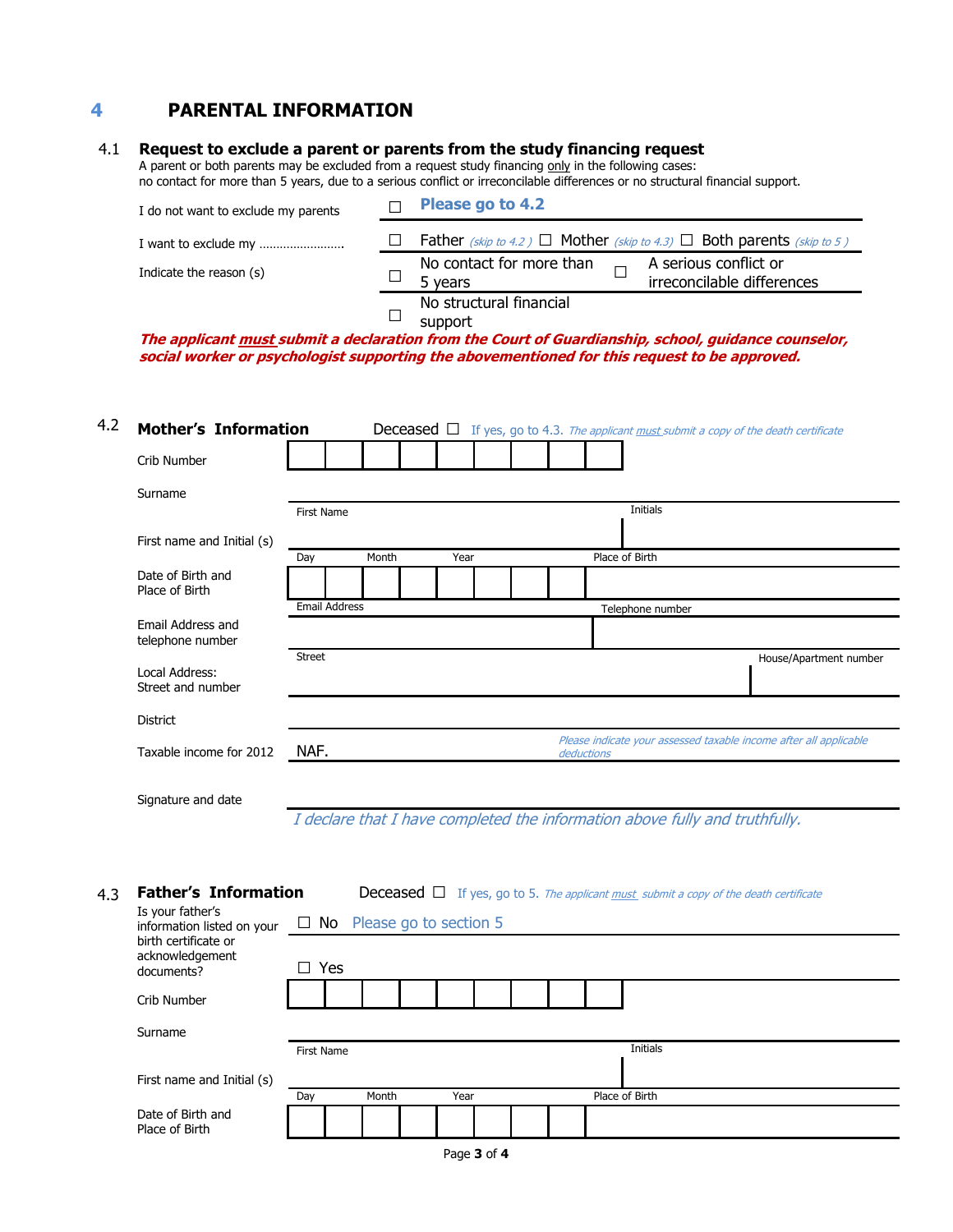## **4 PARENTAL INFORMATION**

### 4.1 **Request to exclude a parent or parents from the study financing request**

A parent or both parents may be excluded from a request study financing only in the following cases:

| I do not want to exclude my parents                                                                                                                                                                 |                                                                             | П                                                                 | Please go to 4.2                                                                        |                         |                          |                |                       |                                                                                                     |  |  |  |  |  |
|-----------------------------------------------------------------------------------------------------------------------------------------------------------------------------------------------------|-----------------------------------------------------------------------------|-------------------------------------------------------------------|-----------------------------------------------------------------------------------------|-------------------------|--------------------------|----------------|-----------------------|-----------------------------------------------------------------------------------------------------|--|--|--|--|--|
|                                                                                                                                                                                                     |                                                                             |                                                                   | <b>Father</b> (skip to 4.2) $\Box$ Mother (skip to 4.3) $\Box$ Both parents (skip to 5) |                         |                          |                |                       |                                                                                                     |  |  |  |  |  |
| Indicate the reason (s)                                                                                                                                                                             |                                                                             | $\perp$                                                           | 5 years                                                                                 |                         | No contact for more than |                | A serious conflict or | irreconcilable differences                                                                          |  |  |  |  |  |
|                                                                                                                                                                                                     |                                                                             | ⊔                                                                 | support                                                                                 | No structural financial |                          |                |                       |                                                                                                     |  |  |  |  |  |
| The applicant must submit a declaration from the Court of Guardianship, school, guidance counselor,<br>social worker or psychologist supporting the abovementioned for this request to be approved. |                                                                             |                                                                   |                                                                                         |                         |                          |                |                       |                                                                                                     |  |  |  |  |  |
|                                                                                                                                                                                                     |                                                                             |                                                                   |                                                                                         |                         |                          |                |                       |                                                                                                     |  |  |  |  |  |
| <b>Mother's Information</b>                                                                                                                                                                         |                                                                             |                                                                   |                                                                                         |                         |                          |                |                       |                                                                                                     |  |  |  |  |  |
|                                                                                                                                                                                                     |                                                                             |                                                                   |                                                                                         |                         |                          |                |                       | <b>Deceased</b> $\Box$ If yes, go to 4.3. The applicant must submit a copy of the death certificate |  |  |  |  |  |
| Crib Number                                                                                                                                                                                         |                                                                             |                                                                   |                                                                                         |                         |                          |                |                       |                                                                                                     |  |  |  |  |  |
| Surname                                                                                                                                                                                             |                                                                             |                                                                   |                                                                                         |                         |                          |                |                       |                                                                                                     |  |  |  |  |  |
|                                                                                                                                                                                                     | First Name                                                                  |                                                                   |                                                                                         |                         |                          |                | Initials              |                                                                                                     |  |  |  |  |  |
| First name and Initial (s)                                                                                                                                                                          |                                                                             |                                                                   |                                                                                         |                         |                          |                |                       |                                                                                                     |  |  |  |  |  |
| Date of Birth and                                                                                                                                                                                   | Day                                                                         | Month                                                             | Year                                                                                    |                         |                          | Place of Birth |                       |                                                                                                     |  |  |  |  |  |
| Place of Birth                                                                                                                                                                                      |                                                                             |                                                                   |                                                                                         |                         |                          |                |                       |                                                                                                     |  |  |  |  |  |
| Email Address and                                                                                                                                                                                   | <b>Email Address</b>                                                        |                                                                   |                                                                                         |                         |                          |                | Telephone number      |                                                                                                     |  |  |  |  |  |
| telephone number                                                                                                                                                                                    |                                                                             |                                                                   |                                                                                         |                         |                          |                |                       |                                                                                                     |  |  |  |  |  |
| Local Address:<br>Street and number                                                                                                                                                                 | <b>Street</b>                                                               |                                                                   |                                                                                         |                         |                          |                |                       | House/Apartment number                                                                              |  |  |  |  |  |
| <b>District</b>                                                                                                                                                                                     |                                                                             |                                                                   |                                                                                         |                         |                          |                |                       |                                                                                                     |  |  |  |  |  |
| Taxable income for 2012                                                                                                                                                                             | NAF.                                                                        | Please indicate your assessed taxable income after all applicable |                                                                                         |                         |                          |                |                       |                                                                                                     |  |  |  |  |  |
|                                                                                                                                                                                                     |                                                                             |                                                                   |                                                                                         |                         |                          |                |                       |                                                                                                     |  |  |  |  |  |
|                                                                                                                                                                                                     |                                                                             |                                                                   |                                                                                         |                         |                          |                |                       |                                                                                                     |  |  |  |  |  |
| Signature and date                                                                                                                                                                                  |                                                                             |                                                                   |                                                                                         |                         |                          |                |                       |                                                                                                     |  |  |  |  |  |
|                                                                                                                                                                                                     | I declare that I have completed the information above fully and truthfully. |                                                                   |                                                                                         |                         |                          |                |                       |                                                                                                     |  |  |  |  |  |
|                                                                                                                                                                                                     |                                                                             |                                                                   |                                                                                         |                         |                          |                |                       |                                                                                                     |  |  |  |  |  |

| Is your father's<br>information listed on your        |            | $\Box$ No Please go to section 5 |       |  |      |  |  |  |          |                |  |  |  |  |
|-------------------------------------------------------|------------|----------------------------------|-------|--|------|--|--|--|----------|----------------|--|--|--|--|
| birth certificate or<br>acknowledgement<br>documents? |            | Yes                              |       |  |      |  |  |  |          |                |  |  |  |  |
| Crib Number                                           |            |                                  |       |  |      |  |  |  |          |                |  |  |  |  |
| Surname                                               |            |                                  |       |  |      |  |  |  |          |                |  |  |  |  |
|                                                       | First Name |                                  |       |  |      |  |  |  | Initials |                |  |  |  |  |
| First name and Initial (s)                            |            |                                  |       |  |      |  |  |  |          |                |  |  |  |  |
|                                                       | Day        |                                  | Month |  | Year |  |  |  |          | Place of Birth |  |  |  |  |
| Date of Birth and<br>Place of Birth                   |            |                                  |       |  |      |  |  |  |          |                |  |  |  |  |
|                                                       |            |                                  |       |  |      |  |  |  |          |                |  |  |  |  |